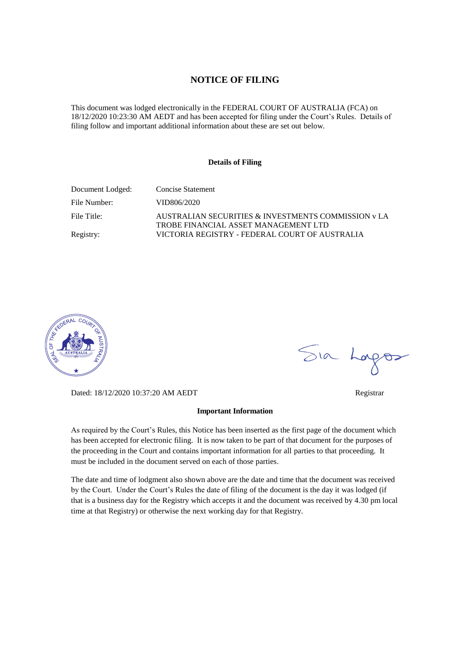#### **NOTICE OF FILING**

This document was lodged electronically in the FEDERAL COURT OF AUSTRALIA (FCA) on 18/12/2020 10:23:30 AM AEDT and has been accepted for filing under the Court's Rules. Details of filing follow and important additional information about these are set out below.

#### **Details of Filing**

| Document Lodged: | Concise Statement                                                                           |
|------------------|---------------------------------------------------------------------------------------------|
| File Number:     | VID806/2020                                                                                 |
| File Title:      | AUSTRALIAN SECURITIES & INVESTMENTS COMMISSION y LA<br>TROBE FINANCIAL ASSET MANAGEMENT LTD |
| Registry:        | VICTORIA REGISTRY - FEDERAL COURT OF AUSTRALIA                                              |



Dated: 18/12/2020 10:37:20 AM AEDT Registrar

#### **Important Information**

As required by the Court's Rules, this Notice has been inserted as the first page of the document which has been accepted for electronic filing. It is now taken to be part of that document for the purposes of the proceeding in the Court and contains important information for all parties to that proceeding. It must be included in the document served on each of those parties.

The date and time of lodgment also shown above are the date and time that the document was received by the Court. Under the Court's Rules the date of filing of the document is the day it was lodged (if that is a business day for the Registry which accepts it and the document was received by 4.30 pm local time at that Registry) or otherwise the next working day for that Registry.

Sia Logos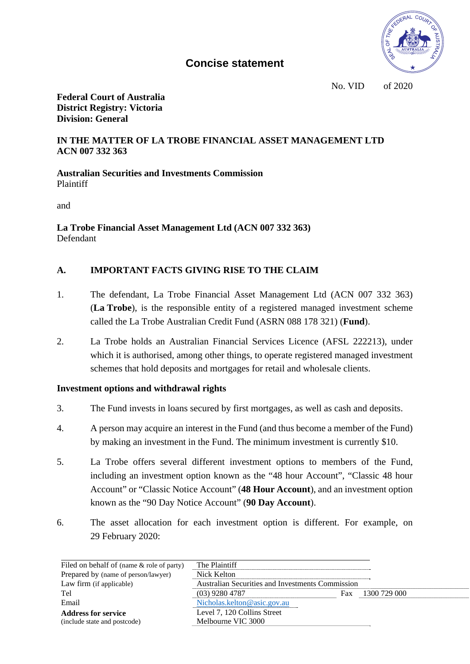

# **Concise statement**

No. VID \_\_\_ of 2020

**Federal Court of Australia District Registry: Victoria Division: General** 

#### **IN THE MATTER OF LA TROBE FINANCIAL ASSET MANAGEMENT LTD ACN 007 332 363**

**Australian Securities and Investments Commission**  Plaintiff

and

**La Trobe Financial Asset Management Ltd (ACN 007 332 363)**  Defendant

## **A. IMPORTANT FACTS GIVING RISE TO THE CLAIM**

- 1. The defendant, La Trobe Financial Asset Management Ltd (ACN 007 332 363) (**La Trobe**), is the responsible entity of a registered managed investment scheme called the La Trobe Australian Credit Fund (ASRN 088 178 321) (**Fund**).
- 2. La Trobe holds an Australian Financial Services Licence (AFSL 222213), under which it is authorised, among other things, to operate registered managed investment schemes that hold deposits and mortgages for retail and wholesale clients.

## **Investment options and withdrawal rights**

- 3. The Fund invests in loans secured by first mortgages, as well as cash and deposits.
- 4. A person may acquire an interest in the Fund (and thus become a member of the Fund) by making an investment in the Fund. The minimum investment is currently \$10.
- 5. La Trobe offers several different investment options to members of the Fund, including an investment option known as the "48 hour Account", "Classic 48 hour Account" or "Classic Notice Account" (**48 Hour Account**), and an investment option known as the "90 Day Notice Account" (**90 Day Account**).
- 6. The asset allocation for each investment option is different. For example, on 29 February 2020:

| Filed on behalf of (name & role of party) | The Plaintiff                                    |     |              |
|-------------------------------------------|--------------------------------------------------|-----|--------------|
| Prepared by (name of person/lawyer)       | Nick Kelton                                      |     |              |
| Law firm (if applicable)                  | Australian Securities and Investments Commission |     |              |
| Tel                                       | $(03)$ 9280 4787                                 | Fax | 1300 729 000 |
| Email                                     | Nicholas.kelton@asic.gov.au                      |     |              |
| <b>Address for service</b>                | Level 7, 120 Collins Street                      |     |              |
| (include state and postcode)              | Melbourne VIC 3000                               |     |              |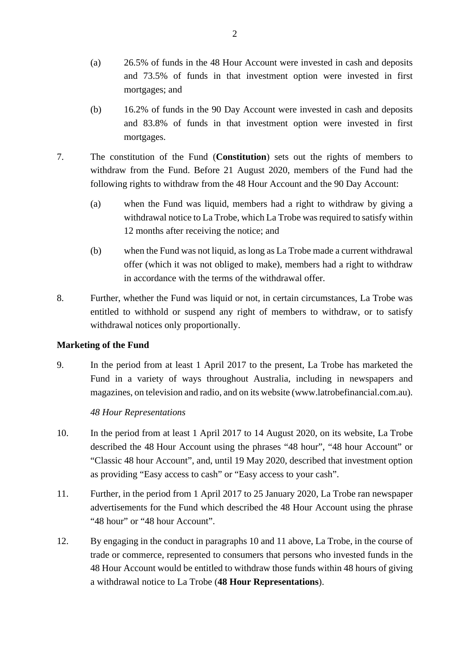- (a) 26.5% of funds in the 48 Hour Account were invested in cash and deposits and 73.5% of funds in that investment option were invested in first mortgages; and
- (b) 16.2% of funds in the 90 Day Account were invested in cash and deposits and 83.8% of funds in that investment option were invested in first mortgages.
- 7. The constitution of the Fund (**Constitution**) sets out the rights of members to withdraw from the Fund. Before 21 August 2020, members of the Fund had the following rights to withdraw from the 48 Hour Account and the 90 Day Account:
	- (a) when the Fund was liquid, members had a right to withdraw by giving a withdrawal notice to La Trobe, which La Trobe was required to satisfy within 12 months after receiving the notice; and
	- (b) when the Fund was not liquid, as long as La Trobe made a current withdrawal offer (which it was not obliged to make), members had a right to withdraw in accordance with the terms of the withdrawal offer.
- 8. Further, whether the Fund was liquid or not, in certain circumstances, La Trobe was entitled to withhold or suspend any right of members to withdraw, or to satisfy withdrawal notices only proportionally.

## **Marketing of the Fund**

9. In the period from at least 1 April 2017 to the present, La Trobe has marketed the Fund in a variety of ways throughout Australia, including in newspapers and magazines, on television and radio, and on its website (www.latrobefinancial.com.au).

## *48 Hour Representations*

- 10. In the period from at least 1 April 2017 to 14 August 2020, on its website, La Trobe described the 48 Hour Account using the phrases "48 hour", "48 hour Account" or "Classic 48 hour Account", and, until 19 May 2020, described that investment option as providing "Easy access to cash" or "Easy access to your cash".
- 11. Further, in the period from 1 April 2017 to 25 January 2020, La Trobe ran newspaper advertisements for the Fund which described the 48 Hour Account using the phrase "48 hour" or "48 hour Account".
- 12. By engaging in the conduct in paragraphs 10 and 11 above, La Trobe, in the course of trade or commerce, represented to consumers that persons who invested funds in the 48 Hour Account would be entitled to withdraw those funds within 48 hours of giving a withdrawal notice to La Trobe (**48 Hour Representations**).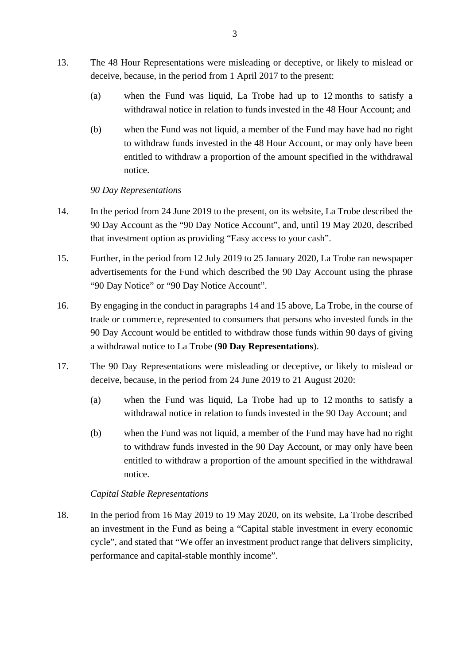- 13. The 48 Hour Representations were misleading or deceptive, or likely to mislead or deceive, because, in the period from 1 April 2017 to the present:
	- (a) when the Fund was liquid, La Trobe had up to 12 months to satisfy a withdrawal notice in relation to funds invested in the 48 Hour Account; and
	- (b) when the Fund was not liquid, a member of the Fund may have had no right to withdraw funds invested in the 48 Hour Account, or may only have been entitled to withdraw a proportion of the amount specified in the withdrawal notice.

#### *90 Day Representations*

- 14. In the period from 24 June 2019 to the present, on its website, La Trobe described the 90 Day Account as the "90 Day Notice Account", and, until 19 May 2020, described that investment option as providing "Easy access to your cash".
- 15. Further, in the period from 12 July 2019 to 25 January 2020, La Trobe ran newspaper advertisements for the Fund which described the 90 Day Account using the phrase "90 Day Notice" or "90 Day Notice Account".
- 16. By engaging in the conduct in paragraphs 14 and 15 above, La Trobe, in the course of trade or commerce, represented to consumers that persons who invested funds in the 90 Day Account would be entitled to withdraw those funds within 90 days of giving a withdrawal notice to La Trobe (**90 Day Representations**).
- 17. The 90 Day Representations were misleading or deceptive, or likely to mislead or deceive, because, in the period from 24 June 2019 to 21 August 2020:
	- (a) when the Fund was liquid, La Trobe had up to 12 months to satisfy a withdrawal notice in relation to funds invested in the 90 Day Account; and
	- (b) when the Fund was not liquid, a member of the Fund may have had no right to withdraw funds invested in the 90 Day Account, or may only have been entitled to withdraw a proportion of the amount specified in the withdrawal notice.

## *Capital Stable Representations*

18. In the period from 16 May 2019 to 19 May 2020, on its website, La Trobe described an investment in the Fund as being a "Capital stable investment in every economic cycle", and stated that "We offer an investment product range that delivers simplicity, performance and capital-stable monthly income".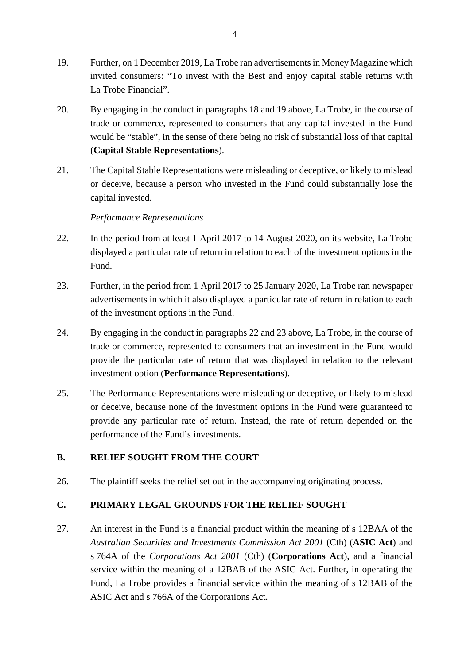- 19. Further, on 1 December 2019, La Trobe ran advertisements in Money Magazine which invited consumers: "To invest with the Best and enjoy capital stable returns with La Trobe Financial".
- 20. By engaging in the conduct in paragraphs 18 and 19 above, La Trobe, in the course of trade or commerce, represented to consumers that any capital invested in the Fund would be "stable", in the sense of there being no risk of substantial loss of that capital (**Capital Stable Representations**).
- 21. The Capital Stable Representations were misleading or deceptive, or likely to mislead or deceive, because a person who invested in the Fund could substantially lose the capital invested.

#### *Performance Representations*

- 22. In the period from at least 1 April 2017 to 14 August 2020, on its website, La Trobe displayed a particular rate of return in relation to each of the investment options in the Fund.
- 23. Further, in the period from 1 April 2017 to 25 January 2020, La Trobe ran newspaper advertisements in which it also displayed a particular rate of return in relation to each of the investment options in the Fund.
- 24. By engaging in the conduct in paragraphs 22 and 23 above, La Trobe, in the course of trade or commerce, represented to consumers that an investment in the Fund would provide the particular rate of return that was displayed in relation to the relevant investment option (**Performance Representations**).
- 25. The Performance Representations were misleading or deceptive, or likely to mislead or deceive, because none of the investment options in the Fund were guaranteed to provide any particular rate of return. Instead, the rate of return depended on the performance of the Fund's investments.

## **B. RELIEF SOUGHT FROM THE COURT**

26. The plaintiff seeks the relief set out in the accompanying originating process.

## **C. PRIMARY LEGAL GROUNDS FOR THE RELIEF SOUGHT**

27. An interest in the Fund is a financial product within the meaning of s 12BAA of the *Australian Securities and Investments Commission Act 2001* (Cth) (**ASIC Act**) and s 764A of the *Corporations Act 2001* (Cth) (**Corporations Act**), and a financial service within the meaning of a 12BAB of the ASIC Act. Further, in operating the Fund, La Trobe provides a financial service within the meaning of s 12BAB of the ASIC Act and s 766A of the Corporations Act.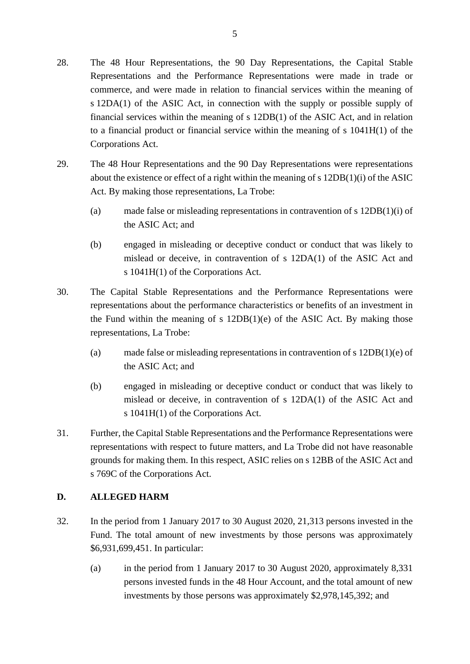- 28. The 48 Hour Representations, the 90 Day Representations, the Capital Stable Representations and the Performance Representations were made in trade or commerce, and were made in relation to financial services within the meaning of s 12DA(1) of the ASIC Act, in connection with the supply or possible supply of financial services within the meaning of s 12DB(1) of the ASIC Act, and in relation to a financial product or financial service within the meaning of s 1041H(1) of the Corporations Act.
- 29. The 48 Hour Representations and the 90 Day Representations were representations about the existence or effect of a right within the meaning of s 12DB(1)(i) of the ASIC Act. By making those representations, La Trobe:
	- (a) made false or misleading representations in contravention of s 12DB(1)(i) of the ASIC Act; and
	- (b) engaged in misleading or deceptive conduct or conduct that was likely to mislead or deceive, in contravention of s 12DA(1) of the ASIC Act and s 1041H(1) of the Corporations Act.
- 30. The Capital Stable Representations and the Performance Representations were representations about the performance characteristics or benefits of an investment in the Fund within the meaning of s  $12DB(1)(e)$  of the ASIC Act. By making those representations, La Trobe:
	- (a) made false or misleading representations in contravention of s 12DB(1)(e) of the ASIC Act; and
	- (b) engaged in misleading or deceptive conduct or conduct that was likely to mislead or deceive, in contravention of s 12DA(1) of the ASIC Act and s 1041H(1) of the Corporations Act.
- 31. Further, the Capital Stable Representations and the Performance Representations were representations with respect to future matters, and La Trobe did not have reasonable grounds for making them. In this respect, ASIC relies on s 12BB of the ASIC Act and s 769C of the Corporations Act.

## **D. ALLEGED HARM**

- 32. In the period from 1 January 2017 to 30 August 2020, 21,313 persons invested in the Fund. The total amount of new investments by those persons was approximately \$6,931,699,451. In particular:
	- (a) in the period from 1 January 2017 to 30 August 2020, approximately 8,331 persons invested funds in the 48 Hour Account, and the total amount of new investments by those persons was approximately \$2,978,145,392; and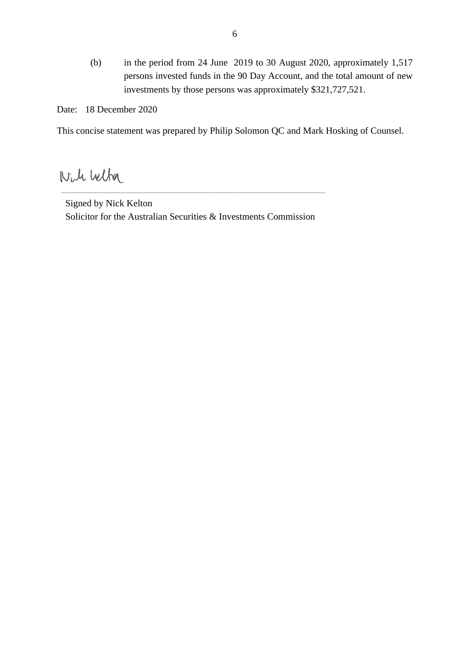(b) in the period from 24 June 2019 to 30 August 2020, approximately 1,517 persons invested funds in the 90 Day Account, and the total amount of new investments by those persons was approximately \$321,727,521.

Date: 18 December 2020

This concise statement was prepared by Philip Solomon QC and Mark Hosking of Counsel.

Nich Velta

Signed by Nick Kelton Solicitor for the Australian Securities & Investments Commission